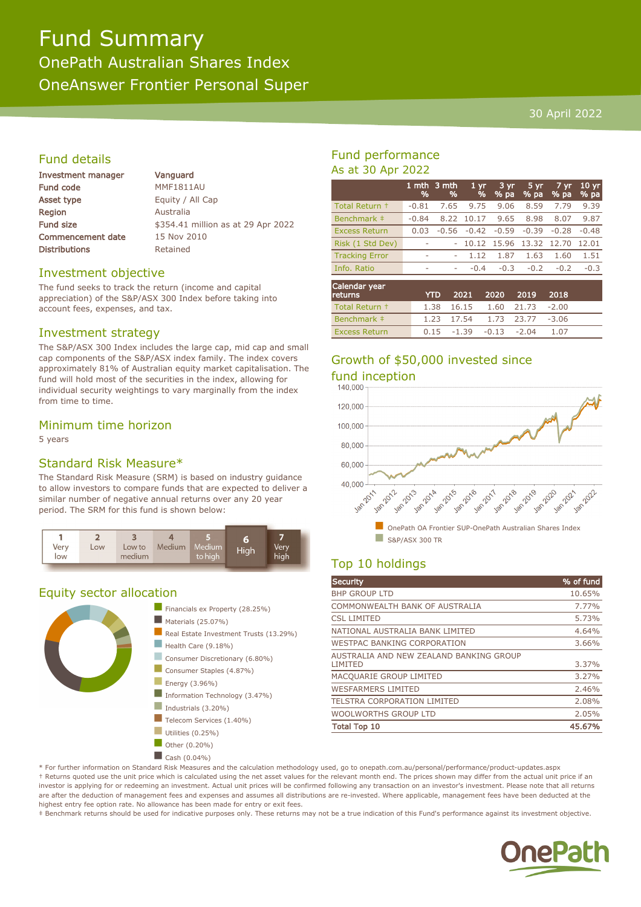# Fund Summary OnePath Australian Shares Index OneAnswer Frontier Personal Super

### 30 April 2022

# Fund details

| Investment manager       |
|--------------------------|
| <b>Fund code</b>         |
| <b>Asset type</b>        |
| Region                   |
| <b>Fund size</b>         |
| <b>Commencement date</b> |
| <b>Distributions</b>     |

Vanguard MMF1811AU Equity / All Cap **Australia** \$354.41 million as at 29 Apr 2022 15 Nov 2010 Retained

### Investment objective

The fund seeks to track the return (income and capital appreciation) of the S&P/ASX 300 Index before taking into account fees, expenses, and tax.

### Investment strategy

The S&P/ASX 300 Index includes the large cap, mid cap and small cap components of the S&P/ASX index family. The index covers approximately 81% of Australian equity market capitalisation. The fund will hold most of the securities in the index, allowing for individual security weightings to vary marginally from the index from time to time.

### Minimum time horizon

5 years

## Standard Risk Measure\*

The Standard Risk Measure (SRM) is based on industry guidance to allow investors to compare funds that are expected to deliver a similar number of negative annual returns over any 20 year period. The SRM for this fund is shown below:



# Equity sector allocation



### Fund performance As at 30 Apr 2022

|                       | %       | 1 mth $3$ mth<br>% | 1 <sub>yr</sub><br>% | 3 yr<br>% pa | 5 yr<br>% pa | 7 yr<br>% pa | 10 <sub>yr</sub><br>% pa |
|-----------------------|---------|--------------------|----------------------|--------------|--------------|--------------|--------------------------|
| Total Return +        | $-0.81$ | 7.65               | 9.75                 | 9.06         | 8.59         | 7.79         | 9.39                     |
| Benchmark ‡           | $-0.84$ | 8.22               | 10.17                | 9.65         | 8.98         | 8.07         | 9.87                     |
| <b>Excess Return</b>  | 0.03    | $-0.56$            | $-0.42$              | $-0.59$      | $-0.39$      | $-0.28$      | $-0.48$                  |
| Risk (1 Std Dev)      |         |                    | 10.12                | 15.96        | 13.32        | 12.70        | 12.01                    |
| <b>Tracking Error</b> | ٠       |                    | 1.12                 | 1.87         | 1.63         | 1.60         | 1.51                     |
| Info. Ratio           | ۰       | ۰                  | $-0.4$               | $-0.3$       | $-0.2$       | $-0.2$       | $-0.3$                   |
| Calendar year         |         |                    |                      |              |              |              |                          |

| returns              |  | YTD 2021 2020 2019 2018     |         |  |
|----------------------|--|-----------------------------|---------|--|
| Total Return +       |  | 1.38 16.15 1.60 21.73 -2.00 |         |  |
| Benchmark #          |  | 1.23 17.54 1.73 23.77 -3.06 |         |  |
| <b>Excess Return</b> |  | $0.15 -1.39 -0.13 -2.04$    | $-1.07$ |  |

# Growth of \$50,000 invested since fund inception<br>140.000



# Top 10 holdings

| % of fund |
|-----------|
| 10.65%    |
| 7.77%     |
| 5.73%     |
| 4.64%     |
| 3.66%     |
| 3.37%     |
| 3.27%     |
| 2.46%     |
| 2.08%     |
| 2.05%     |
| 45.67%    |
|           |

\* For further information on Standard Risk Measures and the calculation methodology used, go to onepath.com.au/personal/performance/product-updates.aspx † Returns quoted use the unit price which is calculated using the net asset values for the relevant month end. The prices shown may differ from the actual unit price if an investor is applying for or redeeming an investment. Actual unit prices will be confirmed following any transaction on an investor's investment. Please note that all returns are after the deduction of management fees and expenses and assumes all distributions are re-invested. Where applicable, management fees have been deducted at the highest entry fee option rate. No allowance has been made for entry or exit fees.

‡ Benchmark returns should be used for indicative purposes only. These returns may not be a true indication of this Fund's performance against its investment objective.